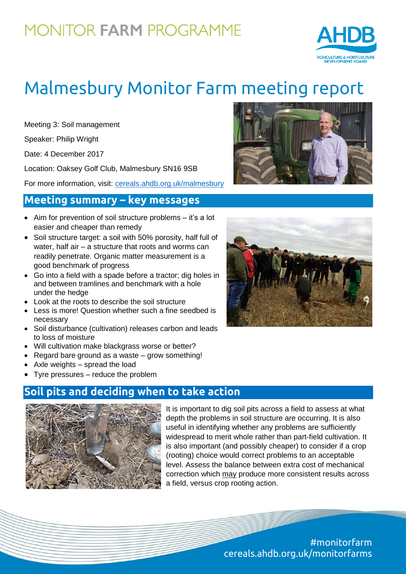# **MONITOR FARM PROGRAMME**



# Malmesbury Monitor Farm meeting report

Meeting 3: Soil management

Speaker: Philip Wright

Date: 4 December 2017

Location: Oaksey Golf Club, Malmesbury SN16 9SB

For more information, visit: [cereals.ahdb.org.uk/malmesbury](https://cereals.ahdb.org.uk/malmesbury)

#### **Meeting summary – key messages**

- Aim for prevention of soil structure problems it's a lot easier and cheaper than remedy
- Soil structure target: a soil with 50% porosity, half full of water, half air – a structure that roots and worms can readily penetrate. Organic matter measurement is a good benchmark of progress
- Go into a field with a spade before a tractor; dig holes in and between tramlines and benchmark with a hole under the hedge
- Look at the roots to describe the soil structure
- Less is more! Question whether such a fine seedbed is necessary
- Soil disturbance (cultivation) releases carbon and leads to loss of moisture
- Will cultivation make blackgrass worse or better?
- Regard bare ground as a waste grow something!
- Axle weights spread the load
- Tyre pressures reduce the problem

### **Soil pits and deciding when to take action**



It is important to dig soil pits across a field to assess at what depth the problems in soil structure are occurring. It is also useful in identifying whether any problems are sufficiently widespread to merit whole rather than part-field cultivation. It is also important (and possibly cheaper) to consider if a crop (rooting) choice would correct problems to an acceptable level. Assess the balance between extra cost of mechanical correction which may produce more consistent results across a field, versus crop rooting action.





#monitorfarm cereals.ahdb.org.uk/monitorfarms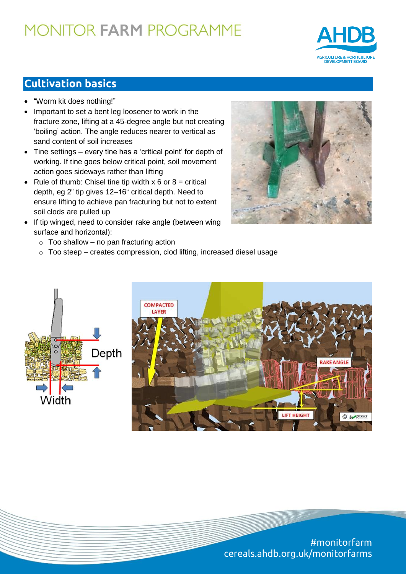# **MONITOR FARM PROGRAMME**



## **Cultivation basics**

- "Worm kit does nothing!"
- Important to set a bent leg loosener to work in the fracture zone, lifting at a 45-degree angle but not creating 'boiling' action. The angle reduces nearer to vertical as sand content of soil increases
- Tine settings every tine has a 'critical point' for depth of working. If tine goes below critical point, soil movement action goes sideways rather than lifting
- Rule of thumb: Chisel tine tip width  $x 6$  or  $8 =$  critical depth, eg 2" tip gives 12–16" critical depth. Need to ensure lifting to achieve pan fracturing but not to extent soil clods are pulled up
- If tip winged, need to consider rake angle (between wing surface and horizontal):



- $\circ$  Too shallow no pan fracturing action
- o Too steep creates compression, clod lifting, increased diesel usage